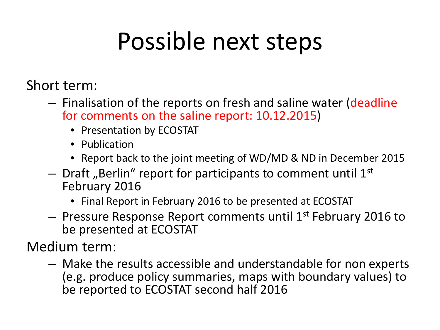## Possible next steps

Short term:

- Finalisation of the reports on fresh and saline water (deadline for comments on the saline report: 10.12.2015)
	- Presentation by ECOSTAT
	- Publication
	- Report back to the joint meeting of WD/MD & ND in December 2015
- $-$  Draft "Berlin" report for participants to comment until  $1<sup>st</sup>$ February 2016
	- Final Report in February 2016 to be presented at ECOSTAT
- $-$  Pressure Response Report comments until 1st February 2016 to be presented at ECOSTAT

Medium term:

– Make the results accessible and understandable for non experts (e.g. produce policy summaries, maps with boundary values) to be reported to ECOSTAT second half 2016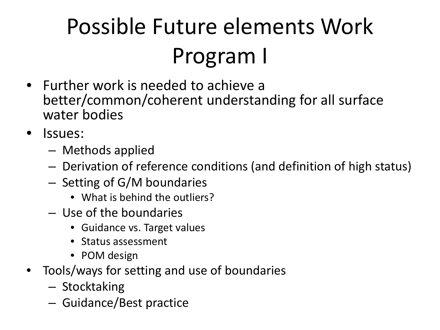# Possible Future elements Work Program I

- Further work is needed to achieve a better/common/coherent understanding for all surface water bodies
- Issues:
	- Methods applied
	- Derivation of reference conditions (and definition of high status)
	- Setting of G/M boundaries
		- What is behind the outliers?
	- Use of the boundaries
		- Guidance vs. Target values
		- Status assessment
		- POM design
- Tools/ways for setting and use of boundaries
	- Stocktaking
	- Guidance/Best practice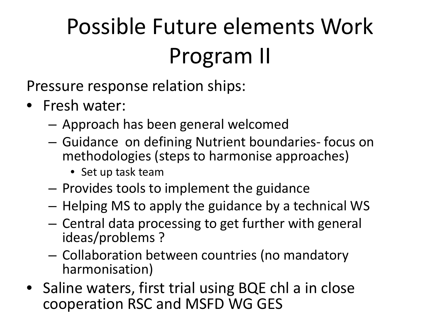# Possible Future elements Work Program II

Pressure response relation ships:

- Fresh water:
	- Approach has been general welcomed
	- Guidance on defining Nutrient boundaries- focus on methodologies (steps to harmonise approaches)
		- Set up task team
	- Provides tools to implement the guidance
	- Helping MS to apply the guidance by a technical WS
	- Central data processing to get further with general ideas/problems ?
	- Collaboration between countries (no mandatory harmonisation)
- Saline waters, first trial using BQE chl a in close cooperation RSC and MSFD WG GES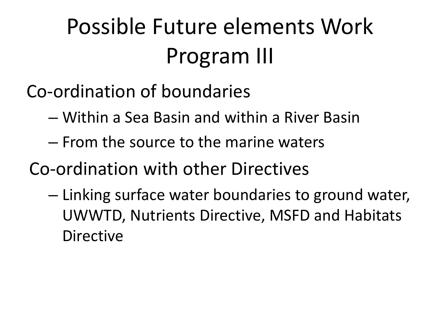## Possible Future elements Work Program III

- Co-ordination of boundaries
	- Within a Sea Basin and within a River Basin
	- From the source to the marine waters
- Co-ordination with other Directives
	- Linking surface water boundaries to ground water, UWWTD, Nutrients Directive, MSFD and Habitats Directive